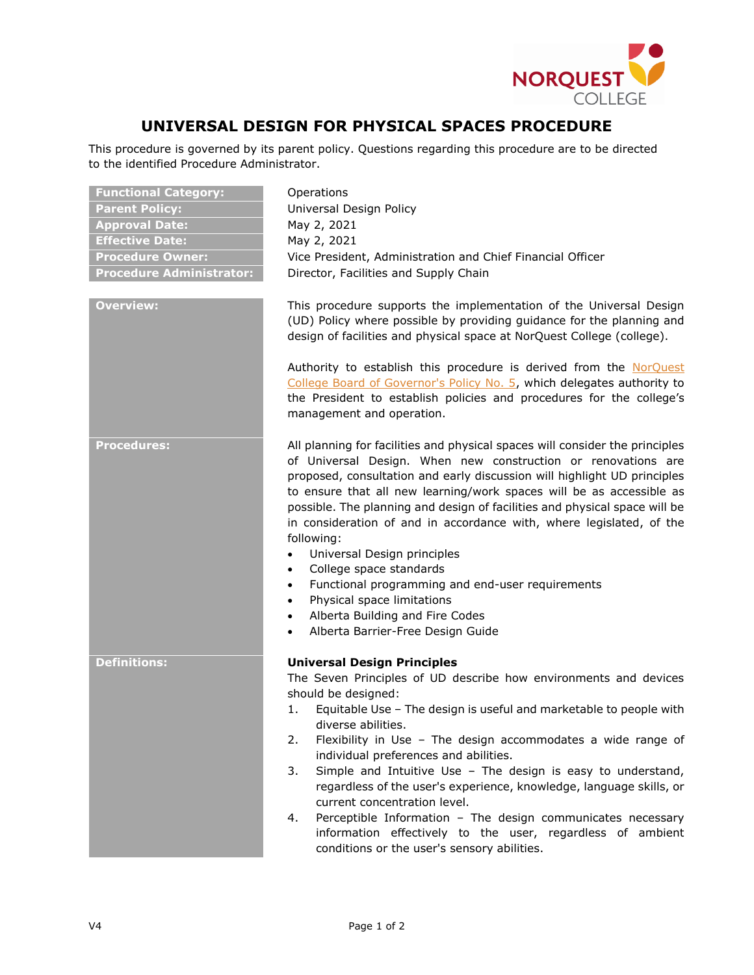

## **UNIVERSAL DESIGN FOR PHYSICAL SPACES PROCEDURE**

This procedure is governed by its parent policy. Questions regarding this procedure are to be directed to the identified Procedure Administrator.

| <b>Functional Category:</b>     | Operations                                                                                                                                                                                                                                                                                                                                                                                                                                                                                                                                                                                                                                                                                                                                                              |
|---------------------------------|-------------------------------------------------------------------------------------------------------------------------------------------------------------------------------------------------------------------------------------------------------------------------------------------------------------------------------------------------------------------------------------------------------------------------------------------------------------------------------------------------------------------------------------------------------------------------------------------------------------------------------------------------------------------------------------------------------------------------------------------------------------------------|
| <b>Parent Policy:</b>           | Universal Design Policy                                                                                                                                                                                                                                                                                                                                                                                                                                                                                                                                                                                                                                                                                                                                                 |
| <b>Approval Date:</b>           | May 2, 2021                                                                                                                                                                                                                                                                                                                                                                                                                                                                                                                                                                                                                                                                                                                                                             |
| <b>Effective Date:</b>          | May 2, 2021                                                                                                                                                                                                                                                                                                                                                                                                                                                                                                                                                                                                                                                                                                                                                             |
| <b>Procedure Owner:</b>         | Vice President, Administration and Chief Financial Officer                                                                                                                                                                                                                                                                                                                                                                                                                                                                                                                                                                                                                                                                                                              |
| <b>Procedure Administrator:</b> | Director, Facilities and Supply Chain                                                                                                                                                                                                                                                                                                                                                                                                                                                                                                                                                                                                                                                                                                                                   |
| <b>Overview:</b>                | This procedure supports the implementation of the Universal Design<br>(UD) Policy where possible by providing guidance for the planning and<br>design of facilities and physical space at NorQuest College (college).<br>Authority to establish this procedure is derived from the NorQuest<br>College Board of Governor's Policy No. 5, which delegates authority to<br>the President to establish policies and procedures for the college's<br>management and operation.                                                                                                                                                                                                                                                                                              |
| <b>Procedures:</b>              | All planning for facilities and physical spaces will consider the principles<br>of Universal Design. When new construction or renovations are<br>proposed, consultation and early discussion will highlight UD principles<br>to ensure that all new learning/work spaces will be as accessible as<br>possible. The planning and design of facilities and physical space will be<br>in consideration of and in accordance with, where legislated, of the<br>following:<br>Universal Design principles<br>$\bullet$<br>College space standards<br>$\bullet$<br>Functional programming and end-user requirements<br>$\bullet$<br>Physical space limitations<br>$\bullet$<br>Alberta Building and Fire Codes<br>$\bullet$<br>Alberta Barrier-Free Design Guide<br>$\bullet$ |
| <b>Definitions:</b>             | <b>Universal Design Principles</b><br>The Seven Principles of UD describe how environments and devices<br>should be designed:<br>Equitable Use - The design is useful and marketable to people with<br>1.<br>diverse abilities.<br>Flexibility in Use - The design accommodates a wide range of<br>2.<br>individual preferences and abilities.<br>Simple and Intuitive Use - The design is easy to understand,<br>3.<br>regardless of the user's experience, knowledge, language skills, or<br>current concentration level.<br>Perceptible Information - The design communicates necessary<br>4.<br>information effectively to the user, regardless of ambient<br>conditions or the user's sensory abilities.                                                           |